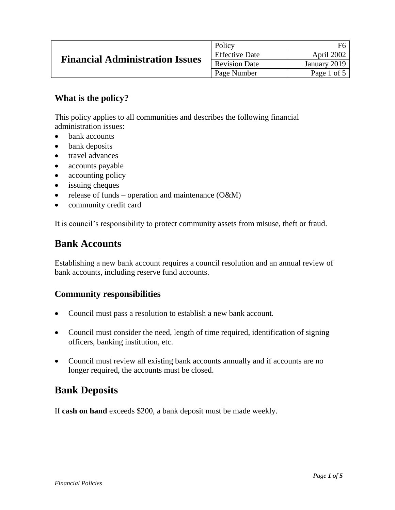| <b>Financial Administration Issues</b> | Policy                | F6           |
|----------------------------------------|-----------------------|--------------|
|                                        | <b>Effective Date</b> | April 2002   |
|                                        | <b>Revision Date</b>  | January 2019 |
|                                        | Page Number           | Page 1 of 5  |

## **What is the policy?**

This policy applies to all communities and describes the following financial administration issues:

- bank accounts
- bank deposits
- travel advances
- accounts payable
- accounting policy
- issuing cheques
- release of funds operation and maintenance  $(O&M)$
- community credit card

It is council's responsibility to protect community assets from misuse, theft or fraud.

## **Bank Accounts**

Establishing a new bank account requires a council resolution and an annual review of bank accounts, including reserve fund accounts.

#### **Community responsibilities**

- Council must pass a resolution to establish a new bank account.
- Council must consider the need, length of time required, identification of signing officers, banking institution, etc.
- Council must review all existing bank accounts annually and if accounts are no longer required, the accounts must be closed.

# **Bank Deposits**

If **cash on hand** exceeds \$200, a bank deposit must be made weekly.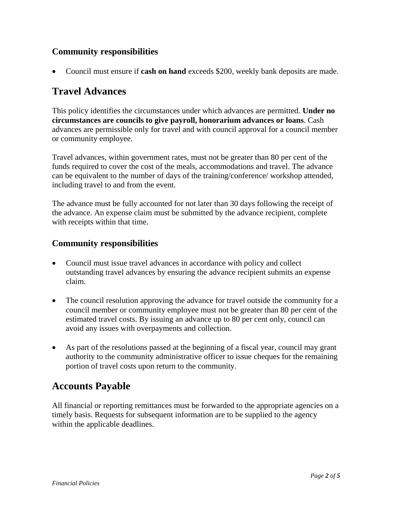## **Community responsibilities**

Council must ensure if **cash on hand** exceeds \$200, weekly bank deposits are made.

## **Travel Advances**

This policy identifies the circumstances under which advances are permitted. **Under no circumstances are councils to give payroll, honorarium advances or loans**. Cash advances are permissible only for travel and with council approval for a council member or community employee.

Travel advances, within government rates, must not be greater than 80 per cent of the funds required to cover the cost of the meals, accommodations and travel. The advance can be equivalent to the number of days of the training/conference/ workshop attended, including travel to and from the event.

The advance must be fully accounted for not later than 30 days following the receipt of the advance. An expense claim must be submitted by the advance recipient, complete with receipts within that time.

#### **Community responsibilities**

- Council must issue travel advances in accordance with policy and collect outstanding travel advances by ensuring the advance recipient submits an expense claim.
- The council resolution approving the advance for travel outside the community for a council member or community employee must not be greater than 80 per cent of the estimated travel costs. By issuing an advance up to 80 per cent only, council can avoid any issues with overpayments and collection.
- As part of the resolutions passed at the beginning of a fiscal year, council may grant authority to the community administrative officer to issue cheques for the remaining portion of travel costs upon return to the community.

# **Accounts Payable**

All financial or reporting remittances must be forwarded to the appropriate agencies on a timely basis. Requests for subsequent information are to be supplied to the agency within the applicable deadlines.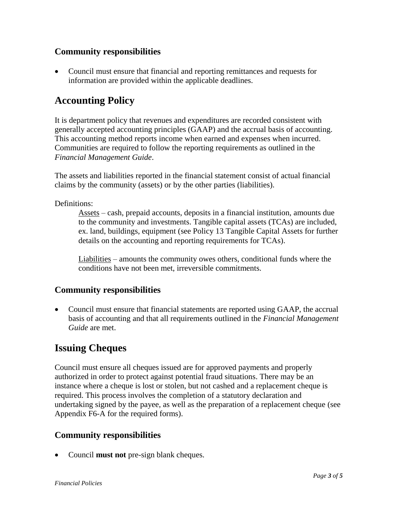### **Community responsibilities**

 Council must ensure that financial and reporting remittances and requests for information are provided within the applicable deadlines.

## **Accounting Policy**

It is department policy that revenues and expenditures are recorded consistent with generally accepted accounting principles (GAAP) and the accrual basis of accounting. This accounting method reports income when earned and expenses when incurred. Communities are required to follow the reporting requirements as outlined in the *Financial Management Guide*.

The assets and liabilities reported in the financial statement consist of actual financial claims by the community (assets) or by the other parties (liabilities).

Definitions:

Assets – cash, prepaid accounts, deposits in a financial institution, amounts due to the community and investments. Tangible capital assets (TCAs) are included, ex. land, buildings, equipment (see Policy 13 Tangible Capital Assets for further details on the accounting and reporting requirements for TCAs).

Liabilities – amounts the community owes others, conditional funds where the conditions have not been met, irreversible commitments.

## **Community responsibilities**

 Council must ensure that financial statements are reported using GAAP, the accrual basis of accounting and that all requirements outlined in the *Financial Management Guide* are met.

# **Issuing Cheques**

Council must ensure all cheques issued are for approved payments and properly authorized in order to protect against potential fraud situations. There may be an instance where a cheque is lost or stolen, but not cashed and a replacement cheque is required. This process involves the completion of a statutory declaration and undertaking signed by the payee, as well as the preparation of a replacement cheque (see Appendix F6-A for the required forms).

## **Community responsibilities**

Council **must not** pre-sign blank cheques.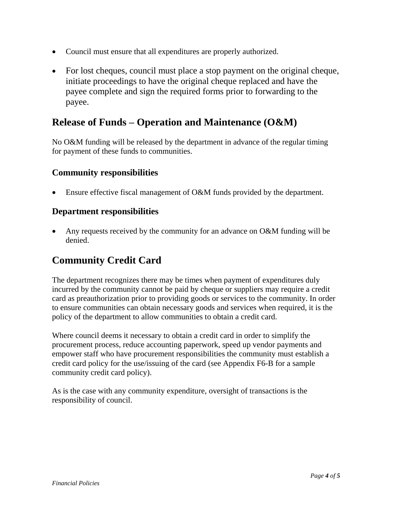- Council must ensure that all expenditures are properly authorized.
- For lost cheques, council must place a stop payment on the original cheque, initiate proceedings to have the original cheque replaced and have the payee complete and sign the required forms prior to forwarding to the payee.

## **Release of Funds – Operation and Maintenance (O&M)**

No O&M funding will be released by the department in advance of the regular timing for payment of these funds to communities.

## **Community responsibilities**

Ensure effective fiscal management of O&M funds provided by the department.

#### **Department responsibilities**

 Any requests received by the community for an advance on O&M funding will be denied.

# **Community Credit Card**

The department recognizes there may be times when payment of expenditures duly incurred by the community cannot be paid by cheque or suppliers may require a credit card as preauthorization prior to providing goods or services to the community. In order to ensure communities can obtain necessary goods and services when required, it is the policy of the department to allow communities to obtain a credit card.

Where council deems it necessary to obtain a credit card in order to simplify the procurement process, reduce accounting paperwork, speed up vendor payments and empower staff who have procurement responsibilities the community must establish a credit card policy for the use/issuing of the card (see Appendix F6-B for a sample community credit card policy).

As is the case with any community expenditure, oversight of transactions is the responsibility of council.